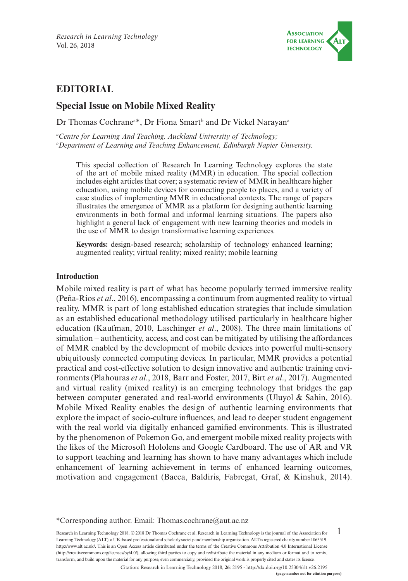

# **EDITORIAL**

# **Special Issue on Mobile Mixed Reality**

Dr Thomas Cochrane<sup>a\*</sup>, Dr Fiona Smart<sup>b</sup> and Dr Vickel Narayan<sup>a</sup>

*a Centre for Learning And Teaching, Auckland University of Technology; b Department of Learning and Teaching Enhancement, Edinburgh Napier University.* 

This special collection of Research In Learning Technology explores the state of the art of mobile mixed reality (MMR) in education. The special collection includes eight articles that cover; a systematic review of MMR in healthcare higher education, using mobile devices for connecting people to places, and a variety of case studies of implementing MMR in educational contexts. The range of papers illustrates the emergence of MMR as a platform for designing authentic learning environments in both formal and informal learning situations. The papers also highlight a general lack of engagement with new learning theories and models in the use of MMR to design transformative learning experiences.

**Keywords:** design-based research; scholarship of technology enhanced learning; augmented reality; virtual reality; mixed reality; mobile learning

#### **Introduction**

Mobile mixed reality is part of what has become popularly termed immersive reality (Peña-Rios *et al*., 2016), encompassing a continuum from augmented reality to virtual reality. MMR is part of long established education strategies that include simulation as an established educational methodology utilised particularly in healthcare higher education (Kaufman, 2010, Laschinger *et al*., 2008). The three main limitations of simulation – authenticity, access, and cost can be mitigated by utilising the affordances of MMR enabled by the development of mobile devices into powerful multi-sensory ubiquitously connected computing devices. In particular, MMR provides a potential practical and cost-effective solution to design innovative and authentic training environments (Plahouras *et al*., 2018, Barr and Foster, 2017, Birt *et al*., 2017). Augmented and virtual reality (mixed reality) is an emerging technology that bridges the gap between computer generated and real-world environments (Uluyol & Sahin, 2016). Mobile Mixed Reality enables the design of authentic learning environments that explore the impact of socio-culture influences, and lead to deeper student engagement with the real world via digitally enhanced gamified environments. This is illustrated by the phenomenon of Pokemon Go, and emergent mobile mixed reality projects with the likes of the Microsoft Hololens and Google Cardboard. The use of AR and VR to support teaching and learning has shown to have many advantages which include enhancement of learning achievement in terms of enhanced learning outcomes, motivation and engagement (Bacca, Baldiris, Fabregat, Graf, & Kinshuk, 2014).

1 Research in Learning Technology 2018. © 2018 Dr Thomas Cochrane et al. Research in Learning Technology is the journal of the Association for Learning Technology (ALT), a UK-based professional and scholarly society and membership organisation. ALT is registered charity number 1063519. [http://www.alt.ac.uk/.](http://www.alt.ac.uk/) This is an Open Access article distributed under the terms of the Creative Commons Attribution 4.0 International License (<http://creativecommons.org/licenses/by/4.0/>), allowing third parties to copy and redistribute the material in any medium or format and to remix, transform, and build upon the material for any purpose, even commercially, provided the original work is properly cited and states its license.

Citation: Research in Learning Technology 2018, **26**: 2195 - <http://dx.doi.org/10.25304/rlt.v26.2195>

<sup>\*</sup>Corresponding author. Email: [Thomas.cochrane@aut.ac.nz](mailto:Thomas.cochrane@aut.ac.nz)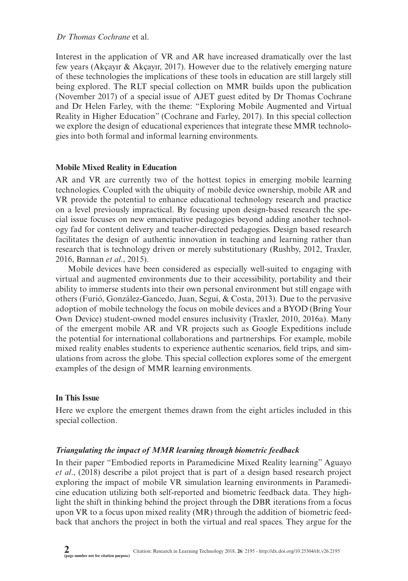### *Dr Thomas Cochrane* et al.

Interest in the application of VR and AR have increased dramatically over the last few years (Akcayır  $\&$  Akcayır, 2017). However due to the relatively emerging nature of these technologies the implications of these tools in education are still largely still being explored. The RLT special collection on MMR builds upon the publication (November 2017) of a special issue of AJET guest edited by Dr Thomas Cochrane and Dr Helen Farley, with the theme: "Exploring Mobile Augmented and Virtual Reality in Higher Education" (Cochrane and Farley, 2017). In this special collection we explore the design of educational experiences that integrate these MMR technologies into both formal and informal learning environments.

### **Mobile Mixed Reality in Education**

AR and VR are currently two of the hottest topics in emerging mobile learning technologies. Coupled with the ubiquity of mobile device ownership, mobile AR and VR provide the potential to enhance educational technology research and practice on a level previously impractical. By focusing upon design-based research the special issue focuses on new emancipative pedagogies beyond adding another technology fad for content delivery and teacher-directed pedagogies. Design based research facilitates the design of authentic innovation in teaching and learning rather than research that is technology driven or merely substitutionary (Rushby, 2012, Traxler, 2016, Bannan *et al*., 2015).

Mobile devices have been considered as especially well-suited to engaging with virtual and augmented environments due to their accessibility, portability and their ability to immerse students into their own personal environment but still engage with others (Furió, González-Gancedo, Juan, Seguí, & Costa, 2013). Due to the pervasive adoption of mobile technology the focus on mobile devices and a BYOD (Bring Your Own Device) student-owned model ensures inclusivity (Traxler, 2010, 2016a). Many of the emergent mobile AR and VR projects such as Google Expeditions include the potential for international collaborations and partnerships. For example, mobile mixed reality enables students to experience authentic scenarios, field trips, and simulations from across the globe. This special collection explores some of the emergent examples of the design of MMR learning environments.

#### **In This Issue**

Here we explore the emergent themes drawn from the eight articles included in this special collection.

# *Triangulating the impact of MMR learning through biometric feedback*

In their paper "Embodied reports in Paramedicine Mixed Reality learning" Aguayo *et al*., (2018) describe a pilot project that is part of a design based research project exploring the impact of mobile VR simulation learning environments in Paramedicine education utilizing both self-reported and biometric feedback data. They highlight the shift in thinking behind the project through the DBR iterations from a focus upon VR to a focus upon mixed reality (MR) through the addition of biometric feedback that anchors the project in both the virtual and real spaces. They argue for the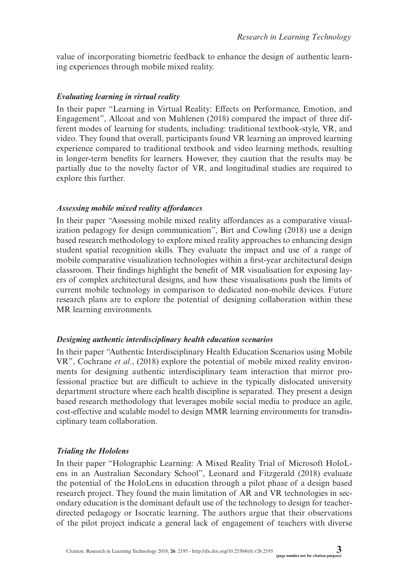value of incorporating biometric feedback to enhance the design of authentic learning experiences through mobile mixed reality.

### *Evaluating learning in virtual reality*

In their paper "Learning in Virtual Reality: Effects on Performance, Emotion, and Engagement", Allcoat and von Muhlenen (2018) compared the impact of three different modes of learning for students, including: traditional textbook-style, VR, and video. They found that overall, participants found VR learning an improved learning experience compared to traditional textbook and video learning methods, resulting in longer-term benefits for learners. However, they caution that the results may be partially due to the novelty factor of VR, and longitudinal studies are required to explore this further.

### *Assessing mobile mixed reality affordances*

In their paper "Assessing mobile mixed reality affordances as a comparative visualization pedagogy for design communication", Birt and Cowling (2018) use a design based research methodology to explore mixed reality approaches to enhancing design student spatial recognition skills. They evaluate the impact and use of a range of mobile comparative visualization technologies within a first-year architectural design classroom. Their findings highlight the benefit of MR visualisation for exposing layers of complex architectural designs, and how these visualisations push the limits of current mobile technology in comparison to dedicated non-mobile devices. Future research plans are to explore the potential of designing collaboration within these MR learning environments.

# *Designing authentic interdisciplinary health education scenarios*

In their paper "Authentic Interdisciplinary Health Education Scenarios using Mobile VR", Cochrane *et al*., (2018) explore the potential of mobile mixed reality environments for designing authentic interdisciplinary team interaction that mirror professional practice but are difficult to achieve in the typically dislocated university department structure where each health discipline is separated. They present a design based research methodology that leverages mobile social media to produce an agile, cost-effective and scalable model to design MMR learning environments for transdisciplinary team collaboration.

# *Trialing the Hololens*

In their paper "Holographic Learning: A Mixed Reality Trial of Microsoft HoloLens in an Australian Secondary School", Leonard and Fitzgerald (2018) evaluate the potential of the HoloLens in education through a pilot phase of a design based research project. They found the main limitation of AR and VR technologies in secondary education is the dominant default use of the technology to design for teacherdirected pedagogy or Isocratic learning. The authors argue that their observations of the pilot project indicate a general lack of engagement of teachers with diverse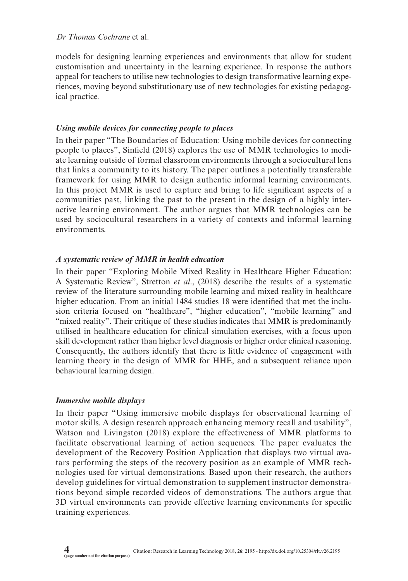# *Dr Thomas Cochrane* et al.

models for designing learning experiences and environments that allow for student customisation and uncertainty in the learning experience. In response the authors appeal for teachers to utilise new technologies to design transformative learning experiences, moving beyond substitutionary use of new technologies for existing pedagogical practice.

## *Using mobile devices for connecting people to places*

In their paper "The Boundaries of Education: Using mobile devices for connecting people to places", Sinfield (2018) explores the use of MMR technologies to mediate learning outside of formal classroom environments through a sociocultural lens that links a community to its history. The paper outlines a potentially transferable framework for using MMR to design authentic informal learning environments. In this project MMR is used to capture and bring to life significant aspects of a communities past, linking the past to the present in the design of a highly interactive learning environment. The author argues that MMR technologies can be used by sociocultural researchers in a variety of contexts and informal learning environments.

### *A systematic review of MMR in health education*

In their paper "Exploring Mobile Mixed Reality in Healthcare Higher Education: A Systematic Review", Stretton *et al*., (2018) describe the results of a systematic review of the literature surrounding mobile learning and mixed reality in healthcare higher education. From an initial 1484 studies 18 were identified that met the inclusion criteria focused on "healthcare", "higher education", "mobile learning" and "mixed reality". Their critique of these studies indicates that MMR is predominantly utilised in healthcare education for clinical simulation exercises, with a focus upon skill development rather than higher level diagnosis or higher order clinical reasoning. Consequently, the authors identify that there is little evidence of engagement with learning theory in the design of MMR for HHE, and a subsequent reliance upon behavioural learning design.

# *Immersive mobile displays*

In their paper "Using immersive mobile displays for observational learning of motor skills. A design research approach enhancing memory recall and usability", Watson and Livingston (2018) explore the effectiveness of MMR platforms to facilitate observational learning of action sequences. The paper evaluates the development of the Recovery Position Application that displays two virtual avatars performing the steps of the recovery position as an example of MMR technologies used for virtual demonstrations. Based upon their research, the authors develop guidelines for virtual demonstration to supplement instructor demonstrations beyond simple recorded videos of demonstrations. The authors argue that 3D virtual environments can provide effective learning environments for specific training experiences.